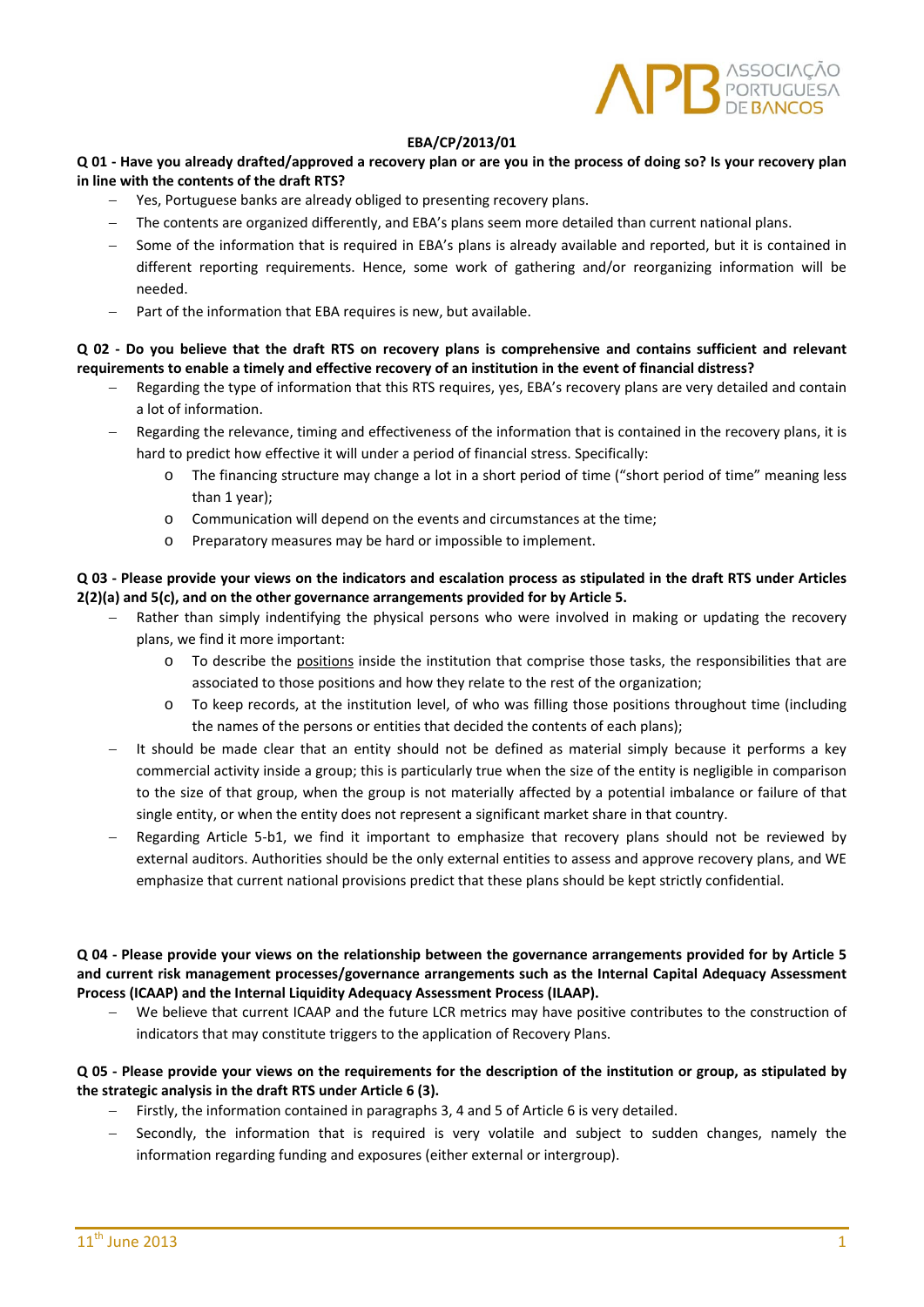

### **EBA/CP/2013/01**

## Q 01 - Have you already drafted/approved a recovery plan or are you in the process of doing so? Is your recovery plan **in line with the contents of the draft RTS?**

- Yes, Portuguese banks are already obliged to presenting recovery plans.
- The contents are organized differently, and EBA's plans seem more detailed than current national plans.
- Some of the information that is required in EBA's plans is already available and reported, but it is contained in different reporting requirements. Hence, some work of gathering and/or reorganizing information will be needed.
- Part of the information that EBA requires is new, but available.

## Q 02 - Do vou believe that the draft RTS on recovery plans is comprehensive and contains sufficient and relevant requirements to enable a timely and effective recovery of an institution in the event of financial distress?

- Regarding the type of information that this RTS requires, yes, EBA's recovery plans are very detailed and contain a lot of information.
- Regarding the relevance, timing and effectiveness of the information that is contained in the recovery plans, it is hard to predict how effective it will under a period of financial stress. Specifically:
	- o The financing structure may change a lot in a short period of time ("short period of time" meaning less than 1 year);
	- o Communication will depend on the events and circumstances at the time;
	- o Preparatory measures may be hard or impossible to implement.

### Q 03 - Please provide vour views on the indicators and escalation process as stipulated in the draft RTS under Articles **2(2)(a) and 5(c), and on the other governance arrangements provided for by Article 5.**

- Rather than simply indentifying the physical persons who were involved in making or updating the recovery plans, we find it more important:
	- o To describe the positions inside the institution that comprise those tasks, the responsibilities that are associated to those positions and how they relate to the rest of the organization;
	- o To keep records, at the institution level, of who was filling those positions throughout time (including the names of the persons or entities that decided the contents of each plans);
- It should be made clear that an entity should not be defined as material simply because it performs a key commercial activity inside a group; this is particularly true when the size of the entity is negligible in comparison to the size of that group, when the group is not materially affected by a potential imbalance or failure of that single entity, or when the entity does not represent a significant market share in that country.
- Regarding Article 5‐b1, we find it important to emphasize that recovery plans should not be reviewed by external auditors. Authorities should be the only external entities to assess and approve recovery plans, and WE emphasize that current national provisions predict that these plans should be kept strictly confidential.

### Q 04 - Please provide your views on the relationship between the governance arrangements provided for by Article 5 **and current risk management processes/governance arrangements such as the Internal Capital Adequacy Assessment Process (ICAAP) and the Internal Liquidity Adequacy Assessment Process (ILAAP).**

 We believe that current ICAAP and the future LCR metrics may have positive contributes to the construction of indicators that may constitute triggers to the application of Recovery Plans.

## Q 05 - Please provide your views on the requirements for the description of the institution or group, as stipulated by **the strategic analysis in the draft RTS under Article 6 (3).**

- Firstly, the information contained in paragraphs 3, 4 and 5 of Article 6 is very detailed.
- Secondly, the information that is required is very volatile and subject to sudden changes, namely the information regarding funding and exposures (either external or intergroup).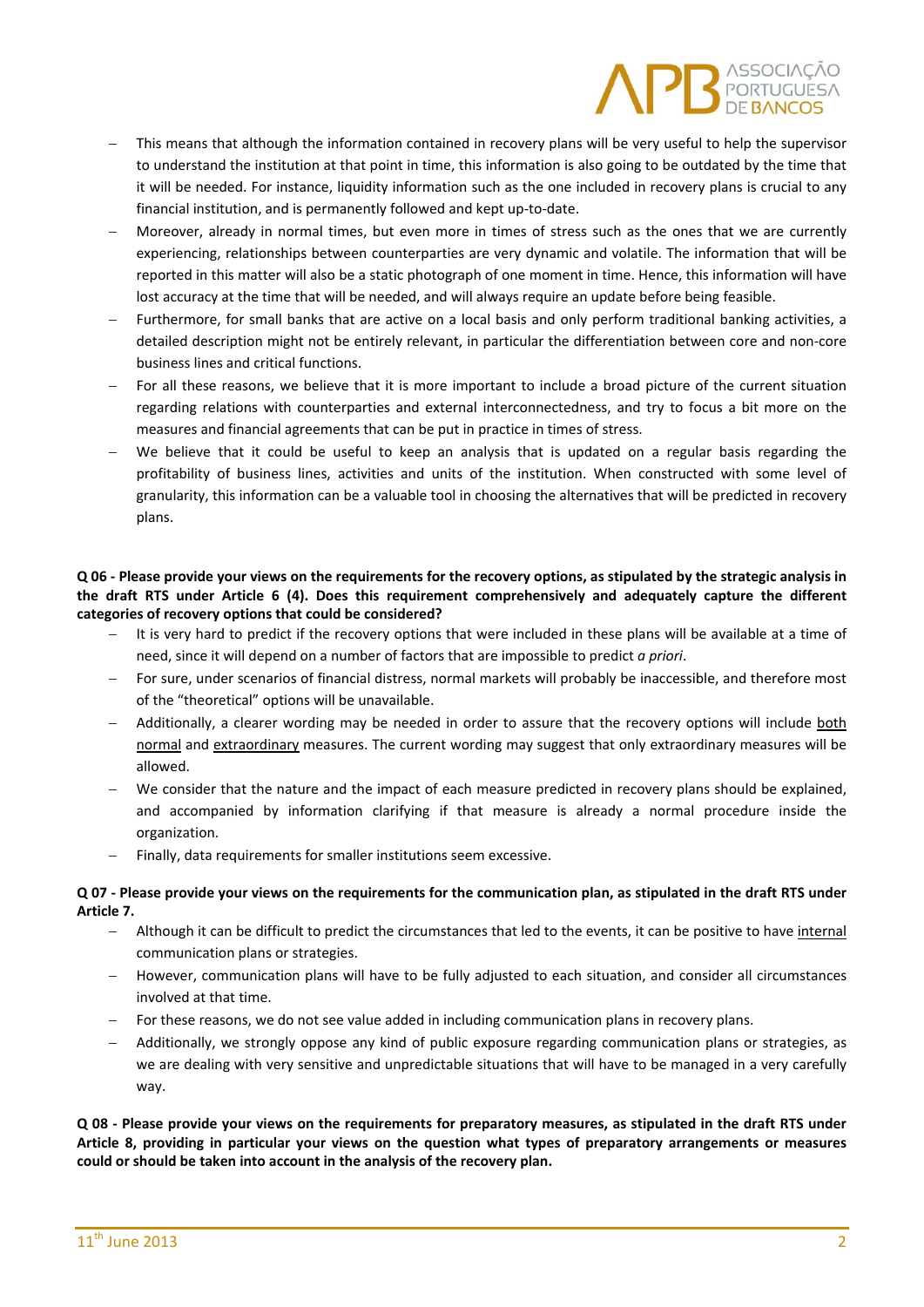

- This means that although the information contained in recovery plans will be very useful to help the supervisor to understand the institution at that point in time, this information is also going to be outdated by the time that it will be needed. For instance, liquidity information such as the one included in recovery plans is crucial to any financial institution, and is permanently followed and kept up-to-date.
- Moreover, already in normal times, but even more in times of stress such as the ones that we are currently experiencing, relationships between counterparties are very dynamic and volatile. The information that will be reported in this matter will also be a static photograph of one moment in time. Hence, this information will have lost accuracy at the time that will be needed, and will always require an update before being feasible.
- Furthermore, for small banks that are active on a local basis and only perform traditional banking activities, a detailed description might not be entirely relevant, in particular the differentiation between core and non‐core business lines and critical functions.
- For all these reasons, we believe that it is more important to include a broad picture of the current situation regarding relations with counterparties and external interconnectedness, and try to focus a bit more on the measures and financial agreements that can be put in practice in times of stress.
- We believe that it could be useful to keep an analysis that is updated on a regular basis regarding the profitability of business lines, activities and units of the institution. When constructed with some level of granularity, this information can be a valuable tool in choosing the alternatives that will be predicted in recovery plans.

# Q 06 - Please provide your views on the requirements for the recovery options, as stipulated by the strategic analysis in **the draft RTS under Article 6 (4). Does this requirement comprehensively and adequately capture the different categories of recovery options that could be considered?**

- It is very hard to predict if the recovery options that were included in these plans will be available at a time of need, since it will depend on a number of factors that are impossible to predict *a priori*.
- For sure, under scenarios of financial distress, normal markets will probably be inaccessible, and therefore most of the "theoretical" options will be unavailable.
- Additionally, a clearer wording may be needed in order to assure that the recovery options will include both normal and extraordinary measures. The current wording may suggest that only extraordinary measures will be allowed.
- We consider that the nature and the impact of each measure predicted in recovery plans should be explained, and accompanied by information clarifying if that measure is already a normal procedure inside the organization.
- Finally, data requirements for smaller institutions seem excessive.

# Q 07 - Please provide your views on the requirements for the communication plan, as stipulated in the draft RTS under **Article 7.**

- Although it can be difficult to predict the circumstances that led to the events, it can be positive to have internal communication plans or strategies.
- However, communication plans will have to be fully adjusted to each situation, and consider all circumstances involved at that time.
- For these reasons, we do not see value added in including communication plans in recovery plans.
- Additionally, we strongly oppose any kind of public exposure regarding communication plans or strategies, as we are dealing with very sensitive and unpredictable situations that will have to be managed in a very carefully way.

Q 08 - Please provide your views on the requirements for preparatory measures, as stipulated in the draft RTS under Article 8, providing in particular your views on the question what types of preparatory arrangements or measures **could or should be taken into account in the analysis of the recovery plan.**